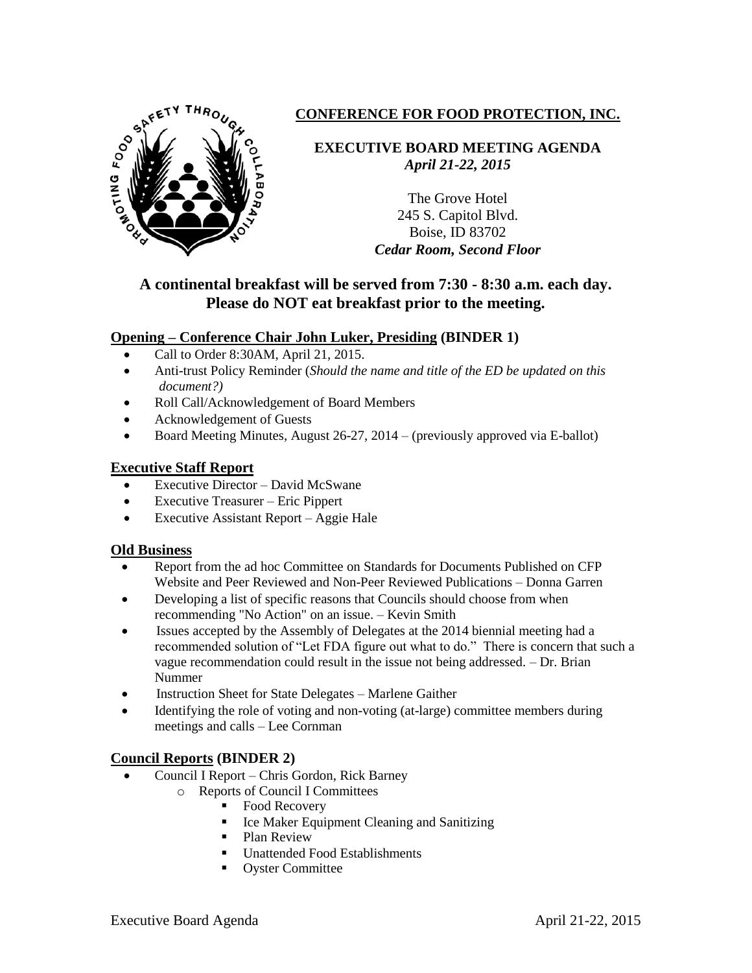

# **CONFERENCE FOR FOOD PROTECTION, INC.**

**EXECUTIVE BOARD MEETING AGENDA** *April 21-22, 2015*

> The Grove Hotel 245 S. Capitol Blvd. Boise, ID 83702 *Cedar Room, Second Floor*

## **A continental breakfast will be served from 7:30 - 8:30 a.m. each day. Please do NOT eat breakfast prior to the meeting.**

## **Opening – Conference Chair John Luker, Presiding (BINDER 1)**

- Call to Order 8:30AM, April 21, 2015.
- Anti-trust Policy Reminder (*Should the name and title of the ED be updated on this document?)*
- Roll Call/Acknowledgement of Board Members
- Acknowledgement of Guests
- Board Meeting Minutes, August 26-27, 2014 (previously approved via E-ballot)

## **Executive Staff Report**

- Executive Director David McSwane
- Executive Treasurer Eric Pippert
- Executive Assistant Report Aggie Hale

## **Old Business**

- Report from the ad hoc Committee on Standards for Documents Published on CFP Website and Peer Reviewed and Non-Peer Reviewed Publications – Donna Garren
- Developing a list of specific reasons that Councils should choose from when recommending "No Action" on an issue. – Kevin Smith
- Issues accepted by the Assembly of Delegates at the 2014 biennial meeting had a recommended solution of "Let FDA figure out what to do." There is concern that such a vague recommendation could result in the issue not being addressed. – Dr. Brian Nummer
- Instruction Sheet for State Delegates Marlene Gaither
- Identifying the role of voting and non-voting (at-large) committee members during meetings and calls – Lee Cornman

## **Council Reports (BINDER 2)**

- Council I Report Chris Gordon, Rick Barney
	- o Reports of Council I Committees
		- Food Recovery
		- **Ice Maker Equipment Cleaning and Sanitizing**
		- Plan Review
		- Unattended Food Establishments
		- **•** Oyster Committee